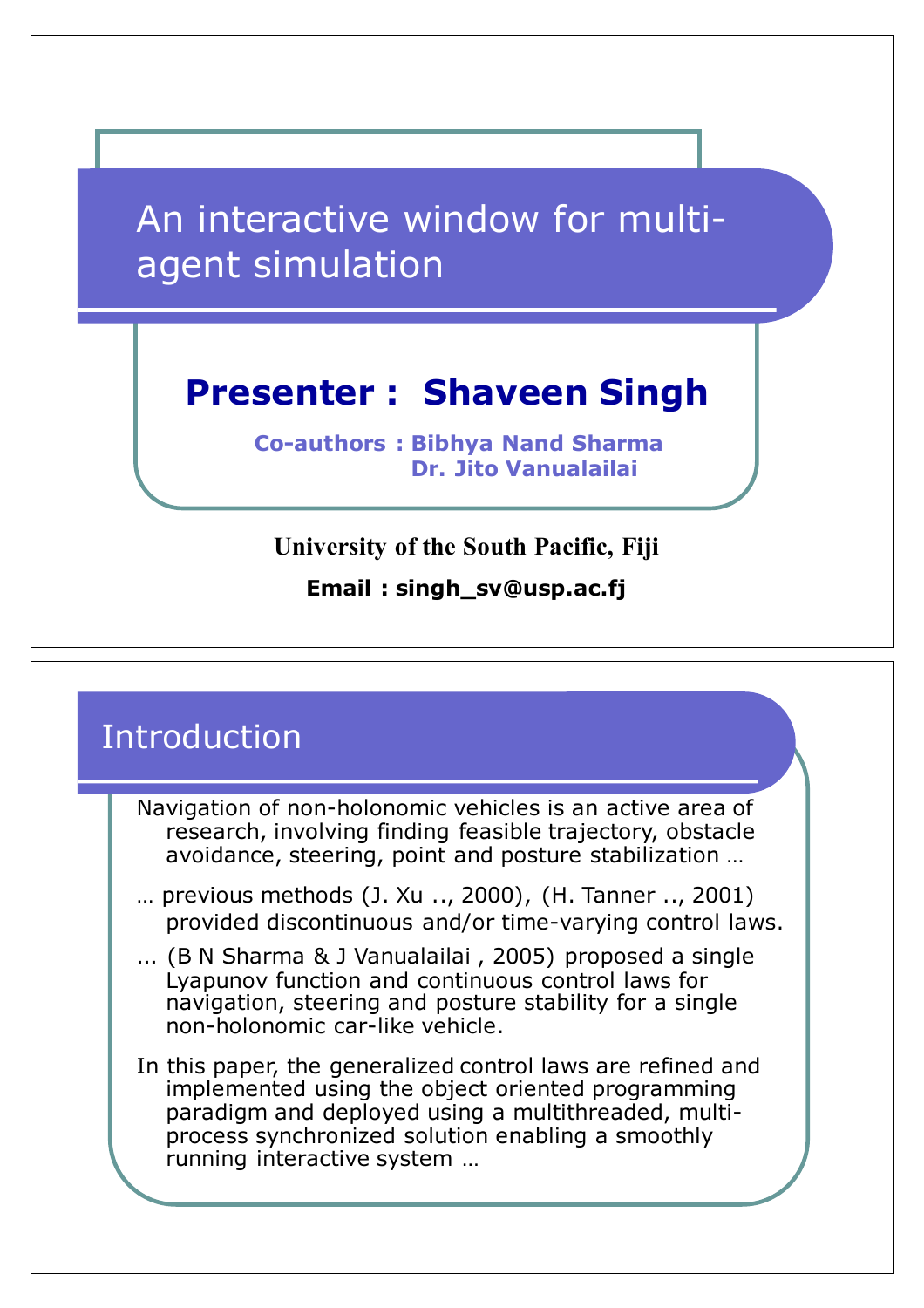An interactive window for multiagent simulation

### **Presenter : Shaveen Singh**

**Co-authors : Bibhya Nand Sharma Dr. Jito Vanualailai**

#### **University of the South Pacific, Fiji**

**Email : singh\_sv@usp.ac.fj**

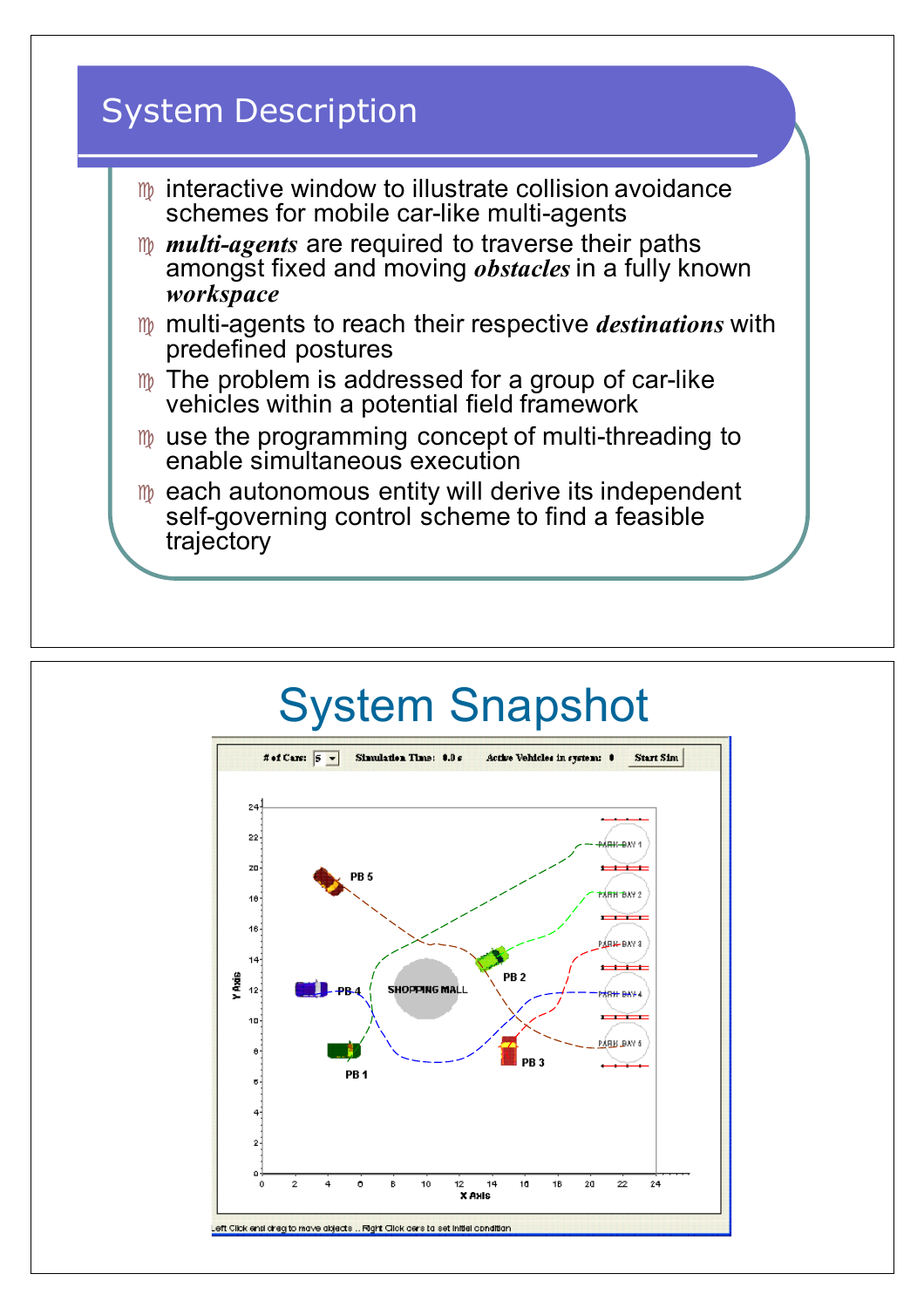

# System Snapshot

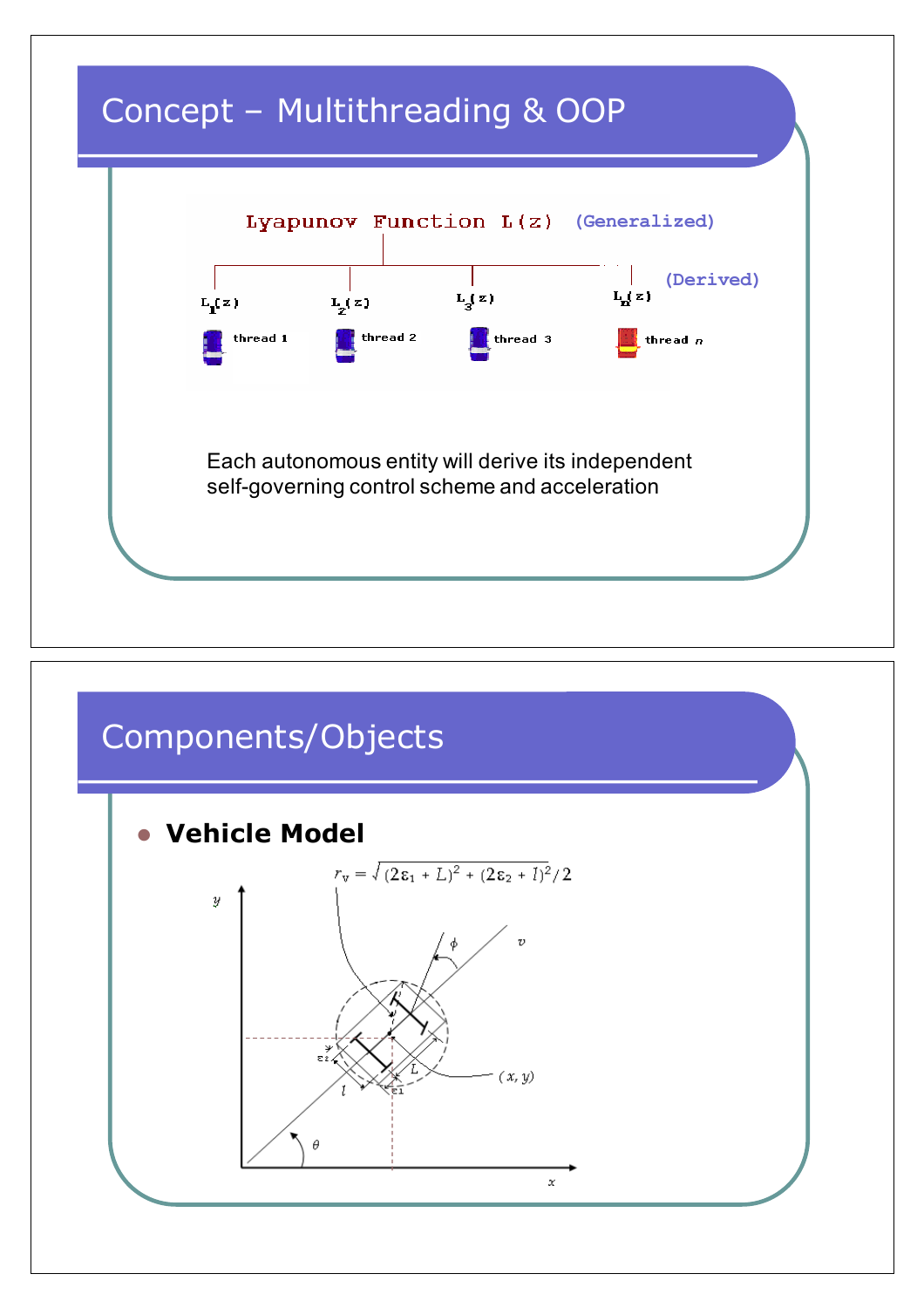

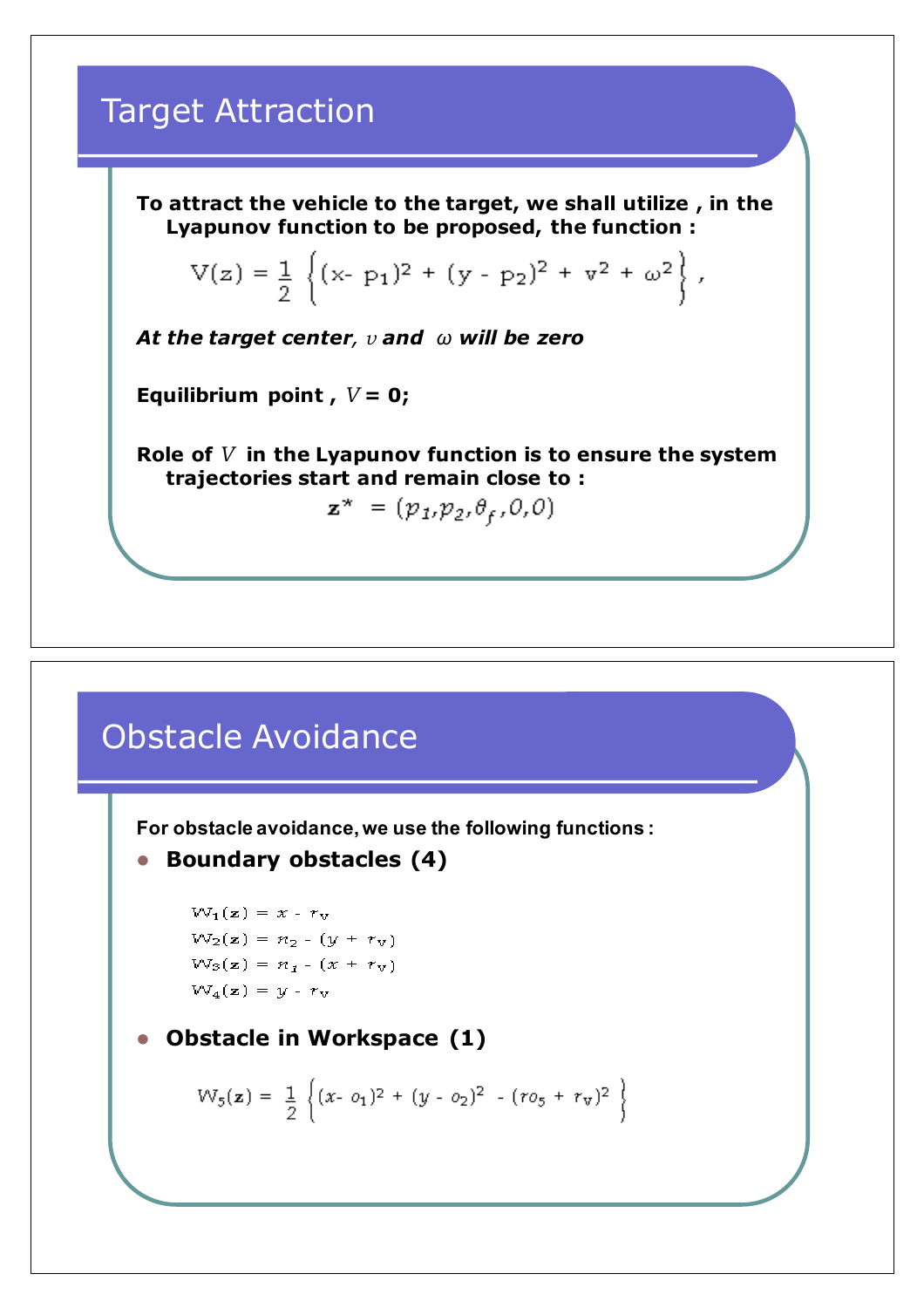### Target Attraction

**To attract the vehicle to the target, we shall utilize , in the Lyapunov function to be proposed, the function :**

$$
V(z) = \frac{1}{2} \left\{ (x - p_1)^2 + (y - p_2)^2 + v^2 + \omega^2 \right\},
$$

*At the target center, v and ω will be zero*

**Equilibrium point,**  $V = 0$ **;** 

**Role of** *V* **in the Lyapunov function is to ensure the system trajectories start and remain close to :**

 $\mathbf{z}^* = (p_1, p_2, \theta_f, 0, 0)$ 

### Obstacle Avoidance

**For obstacle avoidance, we use the following functions :**

```
• Boundary obstacles (4)
```

```
W_1(z) = x - r_vW_2(z) = n_2 - (y + r_v)W_3(z) = n_1 - (x + r_v)W_4(z) = y - r_v
```
**Obstacle in Workspace (1)** 

$$
W_5(\mathbf{z}) = \frac{1}{2} \left\{ (x - o_1)^2 + (y - o_2)^2 - (ro_5 + r_v)^2 \right\}
$$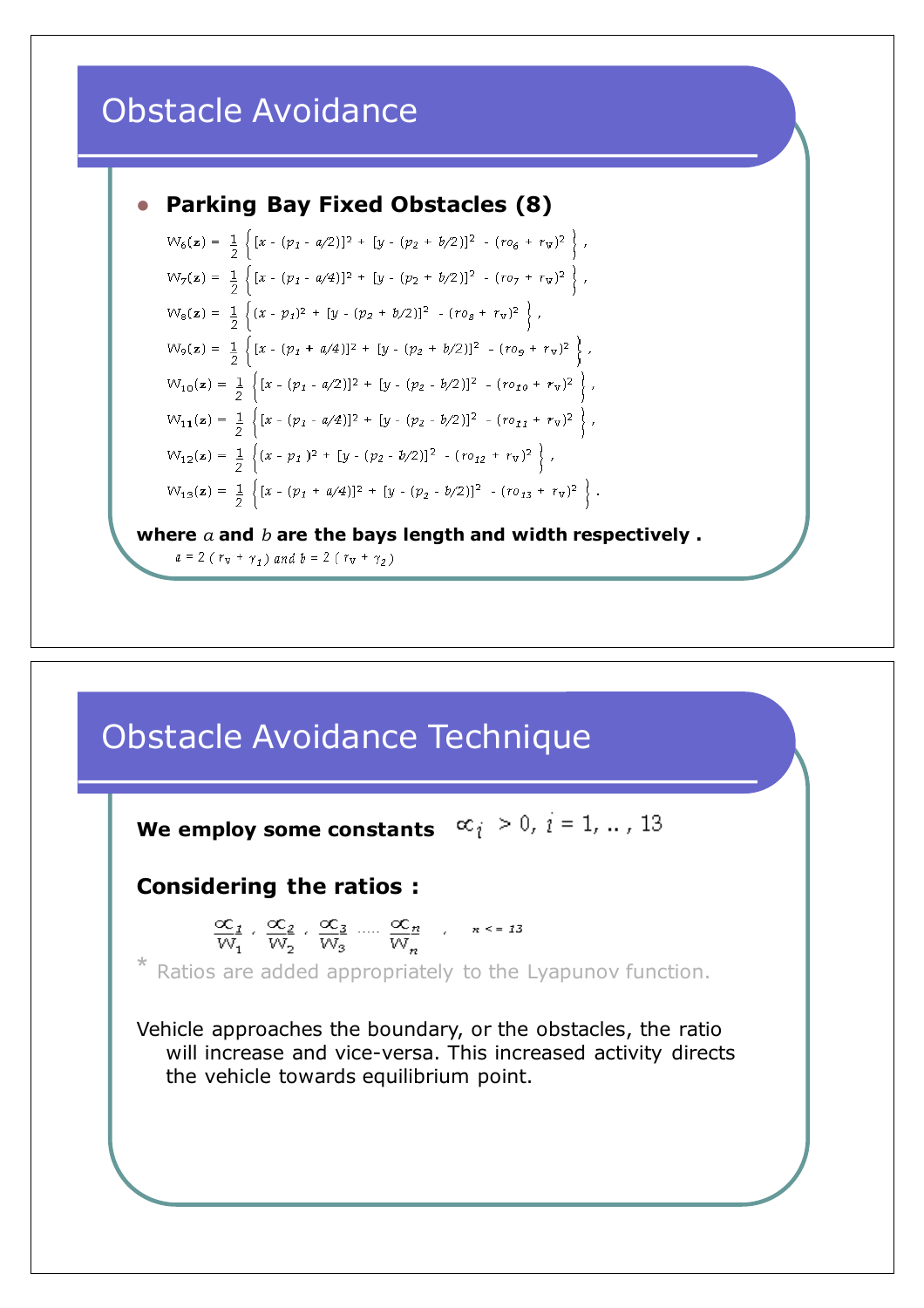### Obstacle Avoidance



 $W_6(z) = \frac{1}{2} \left\{ [x - (p_1 - a/2)]^2 + [y - (p_2 + b/2)]^2 - (r o_6 + r_v)^2 \right\},$  $W_7(z) = \frac{1}{2} \left\{ [x - (p_1 - a/4)]^2 + [y - (p_2 + b/2)]^2 - (r o_7 + r_v)^2 \right\},$  $W_8(z) = \frac{1}{2} \left\{ (x - p_1)^2 + [y - (p_2 + b/2)]^2 - (r o_8 + r_v)^2 \right\},$  $W_9(z) = \frac{1}{2} \left\{ [x - (p_1 + a/4)]^2 + [y - (p_2 + b/2)]^2 - (r o_9 + r_v)^2 \right\},$  $W_{10}(\mathbf{z}) = \frac{1}{2} \left\{ [x - (p_1 - a/2)]^2 + [y - (p_2 - b/2)]^2 - (r o_{10} + r_v)^2 \right\},\$  $W_{11}(\mathbf{z}) = \frac{1}{2} \left\{ [x - (p_1 - a/4)]^2 + [y - (p_2 - b/2)]^2 - (r o_{11} + r_v)^2 \right\},\$  $W_{12}(\mathbf{z}) = \frac{1}{2} \left\{ (x - p_1)^2 + [y - (p_2 - b/2)]^2 - (r o_{12} + r_v)^2 \right\},\$  $\mathbb{W}_{13}(\mathbf{z}) = \frac{1}{2} \left\{ [x - (p_1 + a/4)]^2 + [y - (p_2 - b/2)]^2 - (r o_{13} + r_\mathrm{v})^2 \right\}.$ 

**where** *a* **and** *b* **are the bays length and width respectively .**

 $a = 2 (r_v + \gamma_1)$  and  $b = 2 (r_v + \gamma_2)$ 

## Obstacle Avoidance Technique

**We employ some constants**  $\alpha_i > 0, i = 1, ..., 13$ **Considering the ratios :**  $\frac{\infty_1}{W_1}$ ,  $\frac{\infty_2}{W_2}$ ,  $\frac{\infty_3}{W_3}$  ....  $\frac{\infty_n}{W_n}$  ,  $n \le 13$ \* Ratios are added appropriately to the Lyapunov function. Vehicle approaches the boundary, or the obstacles, the ratio will increase and vice-versa. This increased activity directs the vehicle towards equilibrium point.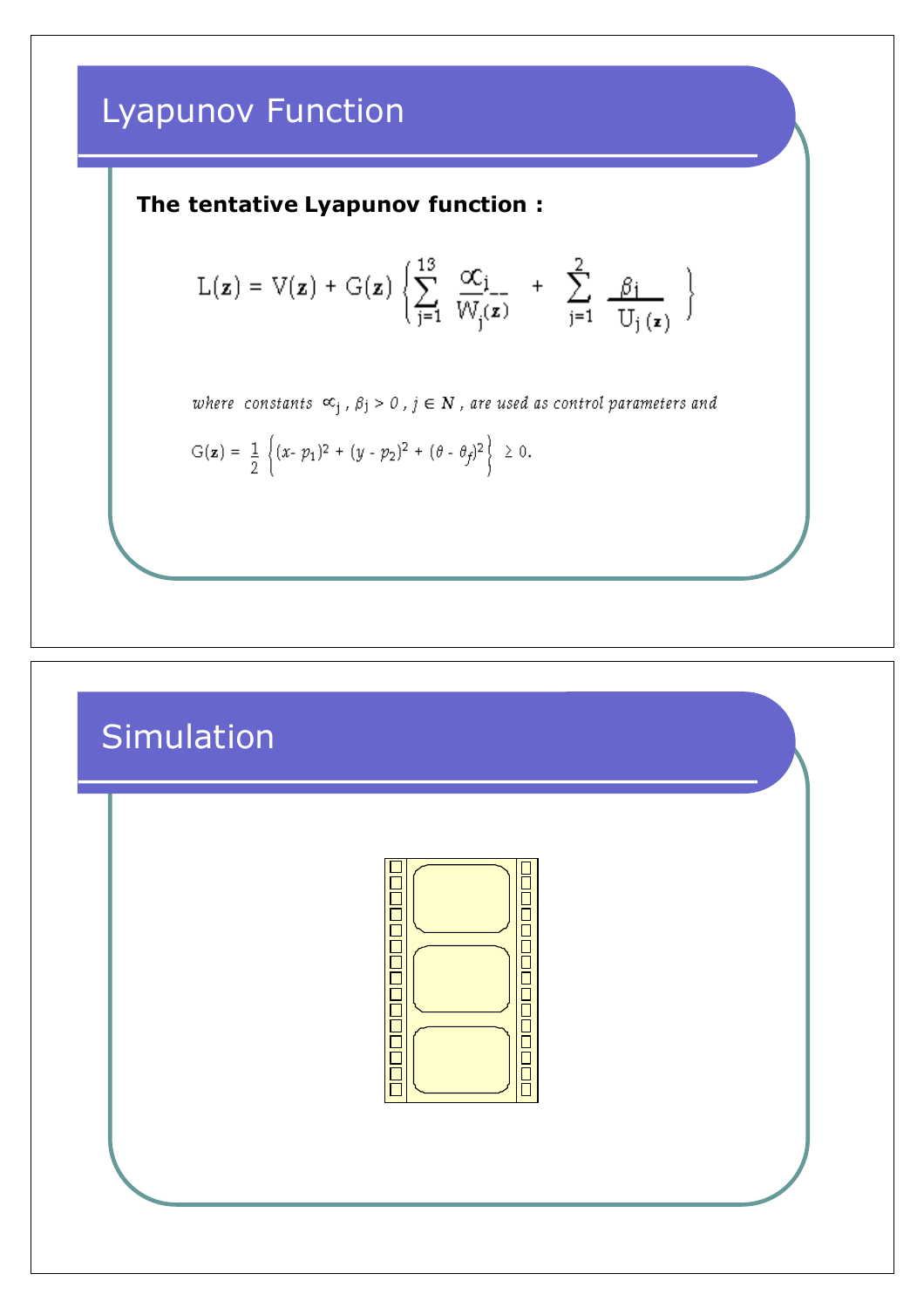### Lyapunov Function

#### **The tentative Lyapunov function :**

$$
L(\mathbf{z}) = V(\mathbf{z}) + G(\mathbf{z}) \left\{ \sum_{j=1}^{13} \frac{\alpha c_j}{W_j(\mathbf{z})} + \sum_{j=1}^{2} \frac{\beta_j}{U_j(\mathbf{z})} \right\}
$$

where constants  $\infty_j$ ,  $\beta_j > 0$ ,  $j \in \mathbb{N}$ , are used as control parameters and

$$
G(\mathbf{z}) = \frac{1}{2} \left\{ (x - p_1)^2 + (y - p_2)^2 + (\theta - \theta_f)^2 \right\} \ge 0.
$$

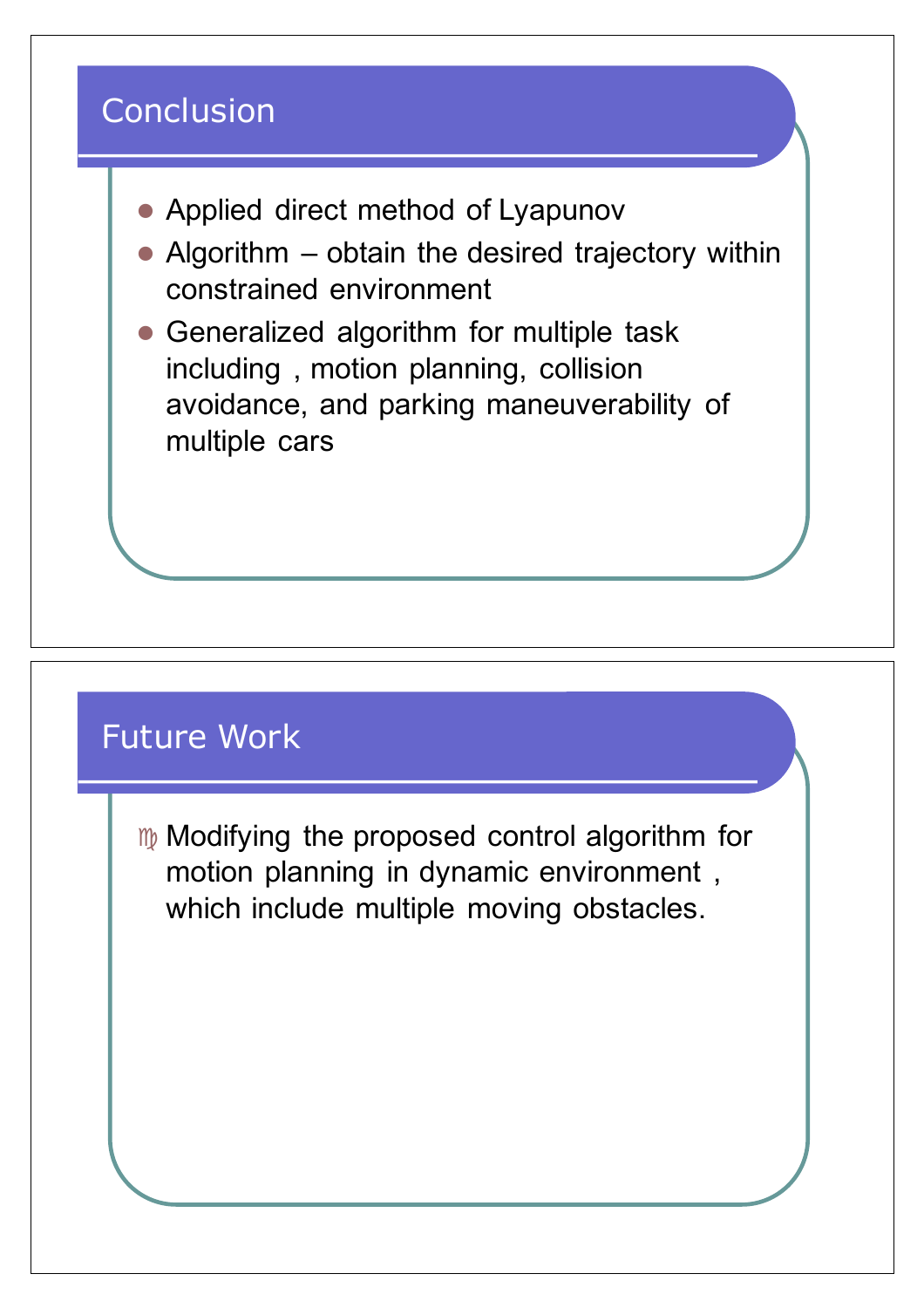

### Future Work

 $m$  Modifying the proposed control algorithm for motion planning in dynamic environment , which include multiple moving obstacles.